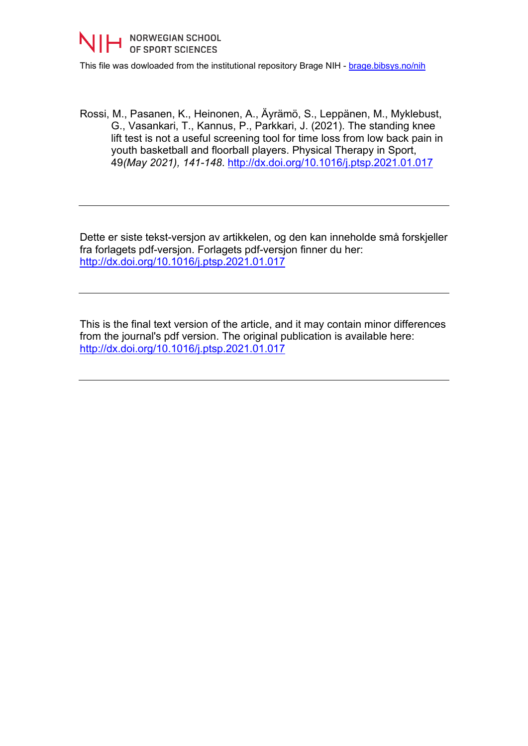

This file was dowloaded from the institutional repository Brage NIH - [brage.bibsys.no/nih](http://brage.bibsys.no/nih)

Rossi, M., Pasanen, K., Heinonen, A., Äyrämö, S., Leppänen, M., Myklebust, G., Vasankari, T., Kannus, P., Parkkari, J. (2021). The standing knee lift test is not a useful screening tool for time loss from low back pain in youth basketball and floorball players. Physical Therapy in Sport, 49*(May 2021), 141-148*.<http://dx.doi.org/10.1016/j.ptsp.2021.01.017>

Dette er siste tekst-versjon av artikkelen, og den kan inneholde små forskjeller fra forlagets pdf-versjon. Forlagets pdf-versjon finner du her: <http://dx.doi.org/10.1016/j.ptsp.2021.01.017>

This is the final text version of the article, and it may contain minor differences from the journal's pdf version. The original publication is available here: <http://dx.doi.org/10.1016/j.ptsp.2021.01.017>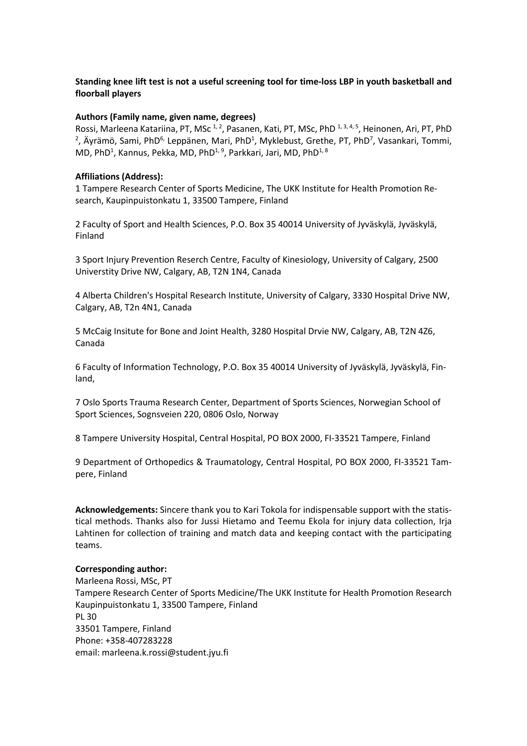# **Standing knee lift test is not a useful screening tool for time-loss LBP in youth basketball and floorball players**

## **Authors (Family name, given name, degrees)**

Rossi, Marleena Katariina, PT, MSc<sup>1,2</sup>, Pasanen, Kati, PT, MSc, PhD<sup>1,3,4,5</sup>, Heinonen, Ari, PT, PhD , Äyrämö, Sami, PhD<sup>6,</sup> Leppänen, Mari, PhD<sup>1</sup>, Myklebust, Grethe, PT, PhD<sup>7</sup>, Vasankari, Tommi, MD, PhD<sup>1</sup>, Kannus, Pekka, MD, PhD<sup>1, 9</sup>, Parkkari, Jari, MD, PhD<sup>1, 8</sup>

### **Affiliations (Address):**

1 Tampere Research Center of Sports Medicine, The UKK Institute for Health Promotion Research, Kaupinpuistonkatu 1, 33500 Tampere, Finland

2 Faculty of Sport and Health Sciences, P.O. Box 35 40014 University of Jyväskylä, Jyväskylä, Finland

3 Sport Injury Prevention Reserch Centre, Faculty of Kinesiology, University of Calgary, 2500 Universtity Drive NW, Calgary, AB, T2N 1N4, Canada

4 Alberta Children's Hospital Research Institute, University of Calgary, 3330 Hospital Drive NW, Calgary, AB, T2n 4N1, Canada

5 McCaig Insitute for Bone and Joint Health, 3280 Hospital Drvie NW, Calgary, AB, T2N 4Z6, Canada

6 Faculty of Information Technology, P.O. Box 35 40014 University of Jyväskylä, Jyväskylä, Finland,

7 Oslo Sports Trauma Research Center, Department of Sports Sciences, Norwegian School of Sport Sciences, Sognsveien 220, 0806 Oslo, Norway

8 Tampere University Hospital, Central Hospital, PO BOX 2000, FI-33521 Tampere, Finland

9 Department of Orthopedics & Traumatology, Central Hospital, PO BOX 2000, FI-33521 Tampere, Finland

**Acknowledgements:** Sincere thank you to Kari Tokola for indispensable support with the statistical methods. Thanks also for Jussi Hietamo and Teemu Ekola for injury data collection, Irja Lahtinen for collection of training and match data and keeping contact with the participating teams.

#### **Corresponding author:**

Marleena Rossi, MSc, PT Tampere Research Center of Sports Medicine/The UKK Institute for Health Promotion Research Kaupinpuistonkatu 1, 33500 Tampere, Finland PL 30 33501 Tampere, Finland Phone: +358-407283228 email: marleena.k.rossi@student.jyu.fi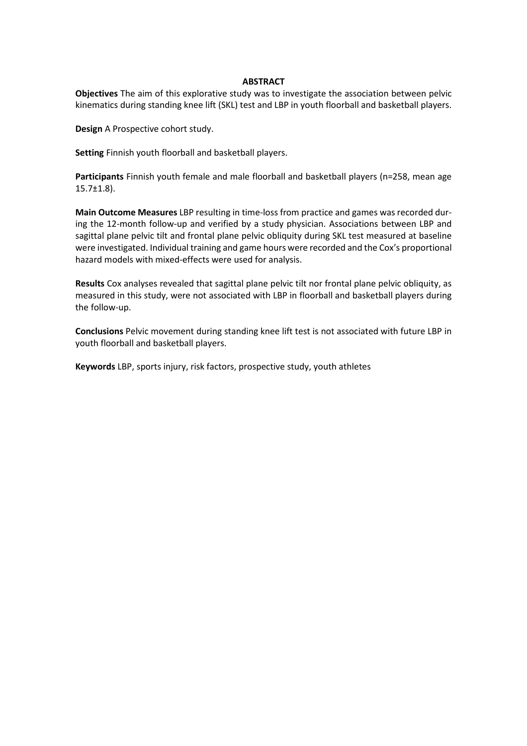## **ABSTRACT**

**Objectives** The aim of this explorative study was to investigate the association between pelvic kinematics during standing knee lift (SKL) test and LBP in youth floorball and basketball players.

**Design** A Prospective cohort study.

**Setting** Finnish youth floorball and basketball players.

**Participants** Finnish youth female and male floorball and basketball players (n=258, mean age 15.7±1.8).

**Main Outcome Measures** LBP resulting in time-loss from practice and games was recorded during the 12-month follow-up and verified by a study physician. Associations between LBP and sagittal plane pelvic tilt and frontal plane pelvic obliquity during SKL test measured at baseline were investigated. Individual training and game hours were recorded and the Cox's proportional hazard models with mixed-effects were used for analysis.

**Results** Cox analyses revealed that sagittal plane pelvic tilt nor frontal plane pelvic obliquity, as measured in this study, were not associated with LBP in floorball and basketball players during the follow-up.

**Conclusions** Pelvic movement during standing knee lift test is not associated with future LBP in youth floorball and basketball players.

**Keywords** LBP, sports injury, risk factors, prospective study, youth athletes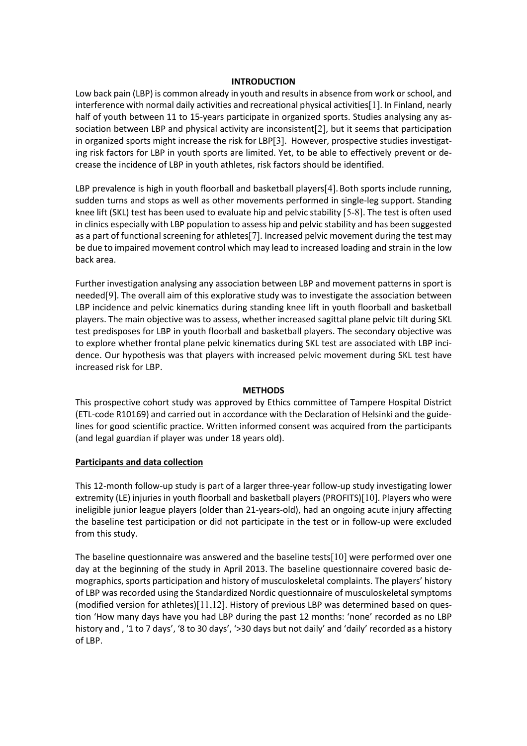## **INTRODUCTION**

Low back pain (LBP) is common already in youth and results in absence from work or school, and interference with normal daily activities and recreational physical activities[1]. In Finland, nearly half of youth between 11 to 15-years participate in organized sports. Studies analysing any association between LBP and physical activity are inconsistent[2], but it seems that participation in organized sports might increase the risk for LBP[3]. However, prospective studies investigating risk factors for LBP in youth sports are limited. Yet, to be able to effectively prevent or decrease the incidence of LBP in youth athletes, risk factors should be identified.

LBP prevalence is high in youth floorball and basketball players[4]. Both sports include running, sudden turns and stops as well as other movements performed in single-leg support. Standing knee lift (SKL) test has been used to evaluate hip and pelvic stability [5-8]. The test is often used in clinics especially with LBP population to assess hip and pelvic stability and has been suggested as a part of functional screening for athletes[7]. Increased pelvic movement during the test may be due to impaired movement control which may lead to increased loading and strain in the low back area.

Further investigation analysing any association between LBP and movement patterns in sport is needed[9]. The overall aim of this explorative study was to investigate the association between LBP incidence and pelvic kinematics during standing knee lift in youth floorball and basketball players. The main objective was to assess, whether increased sagittal plane pelvic tilt during SKL test predisposes for LBP in youth floorball and basketball players. The secondary objective was to explore whether frontal plane pelvic kinematics during SKL test are associated with LBP incidence. Our hypothesis was that players with increased pelvic movement during SKL test have increased risk for LBP.

#### **METHODS**

This prospective cohort study was approved by Ethics committee of Tampere Hospital District (ETL-code R10169) and carried out in accordance with the Declaration of Helsinki and the guidelines for good scientific practice. Written informed consent was acquired from the participants (and legal guardian if player was under 18 years old).

## **Participants and data collection**

This 12-month follow-up study is part of a larger three-year follow-up study investigating lower extremity (LE) injuries in youth floorball and basketball players (PROFITS)[10]. Players who were ineligible junior league players (older than 21-years-old), had an ongoing acute injury affecting the baseline test participation or did not participate in the test or in follow-up were excluded from this study.

The baseline questionnaire was answered and the baseline tests[10] were performed over one day at the beginning of the study in April 2013. The baseline questionnaire covered basic demographics, sports participation and history of musculoskeletal complaints. The players' history of LBP was recorded using the Standardized Nordic questionnaire of musculoskeletal symptoms (modified version for athletes)[11,12]. History of previous LBP was determined based on question 'How many days have you had LBP during the past 12 months: 'none' recorded as no LBP history and , '1 to 7 days', '8 to 30 days', '>30 days but not daily' and 'daily' recorded as a history of LBP.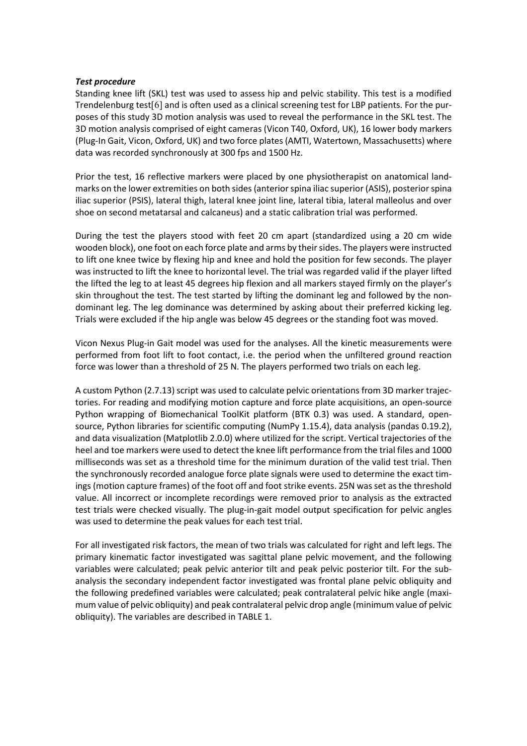### *Test procedure*

Standing knee lift (SKL) test was used to assess hip and pelvic stability. This test is a modified Trendelenburg test[6] and is often used as a clinical screening test for LBP patients. For the purposes of this study 3D motion analysis was used to reveal the performance in the SKL test. The 3D motion analysis comprised of eight cameras (Vicon T40, Oxford, UK), 16 lower body markers (Plug-In Gait, Vicon, Oxford, UK) and two force plates (AMTI, Watertown, Massachusetts) where data was recorded synchronously at 300 fps and 1500 Hz.

Prior the test, 16 reflective markers were placed by one physiotherapist on anatomical landmarks on the lower extremities on both sides (anterior spina iliac superior (ASIS), posterior spina iliac superior (PSIS), lateral thigh, lateral knee joint line, lateral tibia, lateral malleolus and over shoe on second metatarsal and calcaneus) and a static calibration trial was performed.

During the test the players stood with feet 20 cm apart (standardized using a 20 cm wide wooden block), one foot on each force plate and arms by their sides. The players were instructed to lift one knee twice by flexing hip and knee and hold the position for few seconds. The player was instructed to lift the knee to horizontal level. The trial was regarded valid if the player lifted the lifted the leg to at least 45 degrees hip flexion and all markers stayed firmly on the player's skin throughout the test. The test started by lifting the dominant leg and followed by the nondominant leg. The leg dominance was determined by asking about their preferred kicking leg. Trials were excluded if the hip angle was below 45 degrees or the standing foot was moved.

Vicon Nexus Plug-in Gait model was used for the analyses. All the kinetic measurements were performed from foot lift to foot contact, i.e. the period when the unfiltered ground reaction force was lower than a threshold of 25 N. The players performed two trials on each leg.

A custom Python (2.7.13) script was used to calculate pelvic orientations from 3D marker trajectories. For reading and modifying motion capture and force plate acquisitions, an open-source Python wrapping of Biomechanical ToolKit platform (BTK 0.3) was used. A standard, opensource, Python libraries for scientific computing (NumPy 1.15.4), data analysis (pandas 0.19.2), and data visualization (Matplotlib 2.0.0) where utilized for the script. Vertical trajectories of the heel and toe markers were used to detect the knee lift performance from the trial files and 1000 milliseconds was set as a threshold time for the minimum duration of the valid test trial. Then the synchronously recorded analogue force plate signals were used to determine the exact timings (motion capture frames) of the foot off and foot strike events. 25N was set as the threshold value. All incorrect or incomplete recordings were removed prior to analysis as the extracted test trials were checked visually. The plug-in-gait model output specification for pelvic angles was used to determine the peak values for each test trial.

For all investigated risk factors, the mean of two trials was calculated for right and left legs. The primary kinematic factor investigated was sagittal plane pelvic movement, and the following variables were calculated; peak pelvic anterior tilt and peak pelvic posterior tilt. For the subanalysis the secondary independent factor investigated was frontal plane pelvic obliquity and the following predefined variables were calculated; peak contralateral pelvic hike angle (maximum value of pelvic obliquity) and peak contralateral pelvic drop angle (minimum value of pelvic obliquity). The variables are described in TABLE 1.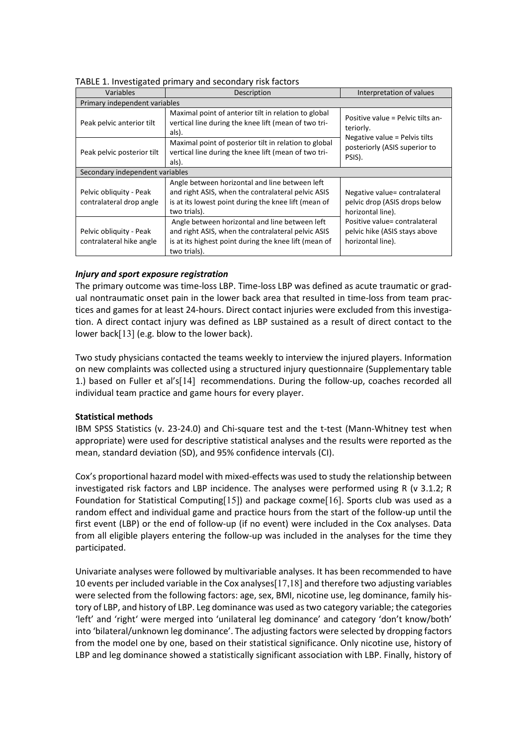| Variables                                           | Description                                                                                                                                                                   |                                                                                     |  |  |  |  |  |
|-----------------------------------------------------|-------------------------------------------------------------------------------------------------------------------------------------------------------------------------------|-------------------------------------------------------------------------------------|--|--|--|--|--|
| Primary independent variables                       |                                                                                                                                                                               |                                                                                     |  |  |  |  |  |
| Peak pelvic anterior tilt                           | Maximal point of anterior tilt in relation to global<br>vertical line during the knee lift (mean of two tri-<br>als).                                                         | Positive value = Pelvic tilts an-<br>teriorly.<br>Negative value = Pelvis tilts     |  |  |  |  |  |
| Peak pelvic posterior tilt                          | Maximal point of posterior tilt in relation to global<br>vertical line during the knee lift (mean of two tri-<br>als).                                                        | posteriorly (ASIS superior to<br>PSIS).                                             |  |  |  |  |  |
| Secondary independent variables                     |                                                                                                                                                                               |                                                                                     |  |  |  |  |  |
| Pelvic obliquity - Peak<br>contralateral drop angle | Angle between horizontal and line between left<br>and right ASIS, when the contralateral pelvic ASIS<br>is at its lowest point during the knee lift (mean of<br>two trials).  | Negative value= contralateral<br>pelvic drop (ASIS drops below<br>horizontal line). |  |  |  |  |  |
| Pelvic obliquity - Peak<br>contralateral hike angle | Angle between horizontal and line between left<br>and right ASIS, when the contralateral pelvic ASIS<br>is at its highest point during the knee lift (mean of<br>two trials). | Positive value= contralateral<br>pelvic hike (ASIS stays above<br>horizontal line). |  |  |  |  |  |

TABLE 1. Investigated primary and secondary risk factors

# *Injury and sport exposure registration*

The primary outcome was time-loss LBP. Time-loss LBP was defined as acute traumatic or gradual nontraumatic onset pain in the lower back area that resulted in time-loss from team practices and games for at least 24-hours. Direct contact injuries were excluded from this investigation. A direct contact injury was defined as LBP sustained as a result of direct contact to the lower back[13] (e.g. blow to the lower back).

Two study physicians contacted the teams weekly to interview the injured players. Information on new complaints was collected using a structured injury questionnaire (Supplementary table 1.) based on Fuller et al's[14] recommendations. During the follow-up, coaches recorded all individual team practice and game hours for every player.

## **Statistical methods**

IBM SPSS Statistics (v. 23-24.0) and Chi-square test and the t-test (Mann-Whitney test when appropriate) were used for descriptive statistical analyses and the results were reported as the mean, standard deviation (SD), and 95% confidence intervals (CI).

Cox's proportional hazard model with mixed-effects was used to study the relationship between investigated risk factors and LBP incidence. The analyses were performed using R (v 3.1.2; R Foundation for Statistical Computing[15]) and package coxme[16]. Sports club was used as a random effect and individual game and practice hours from the start of the follow-up until the first event (LBP) or the end of follow-up (if no event) were included in the Cox analyses. Data from all eligible players entering the follow-up was included in the analyses for the time they participated.

Univariate analyses were followed by multivariable analyses. It has been recommended to have 10 events per included variable in the Cox analyses[17,18] and therefore two adjusting variables were selected from the following factors: age, sex, BMI, nicotine use, leg dominance, family history of LBP, and history of LBP. Leg dominance was used as two category variable; the categories 'left' and 'right' were merged into 'unilateral leg dominance' and category 'don't know/both' into 'bilateral/unknown leg dominance'. The adjusting factors were selected by dropping factors from the model one by one, based on their statistical significance. Only nicotine use, history of LBP and leg dominance showed a statistically significant association with LBP. Finally, history of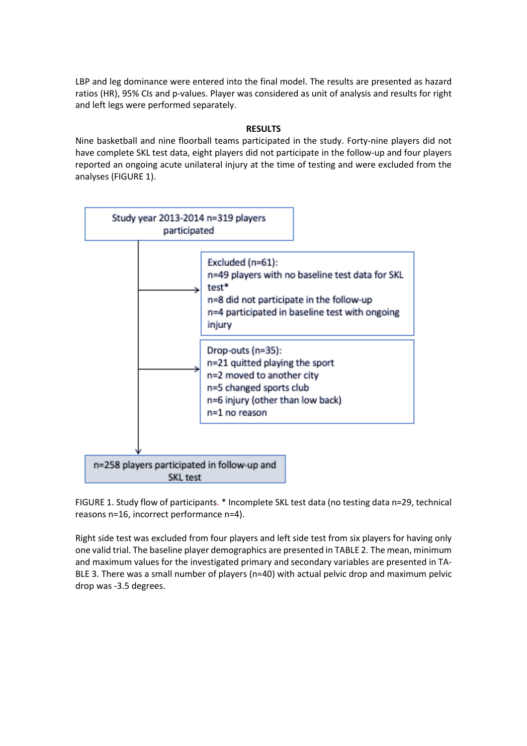LBP and leg dominance were entered into the final model. The results are presented as hazard ratios (HR), 95% CIs and p-values. Player was considered as unit of analysis and results for right and left legs were performed separately.

# **RESULTS**

Nine basketball and nine floorball teams participated in the study. Forty-nine players did not have complete SKL test data, eight players did not participate in the follow-up and four players reported an ongoing acute unilateral injury at the time of testing and were excluded from the analyses (FIGURE 1).



FIGURE 1. Study flow of participants. \* Incomplete SKL test data (no testing data n=29, technical reasons n=16, incorrect performance n=4).

Right side test was excluded from four players and left side test from six players for having only one valid trial. The baseline player demographics are presented in TABLE 2. The mean, minimum and maximum values for the investigated primary and secondary variables are presented in TA-BLE 3. There was a small number of players (n=40) with actual pelvic drop and maximum pelvic drop was -3.5 degrees.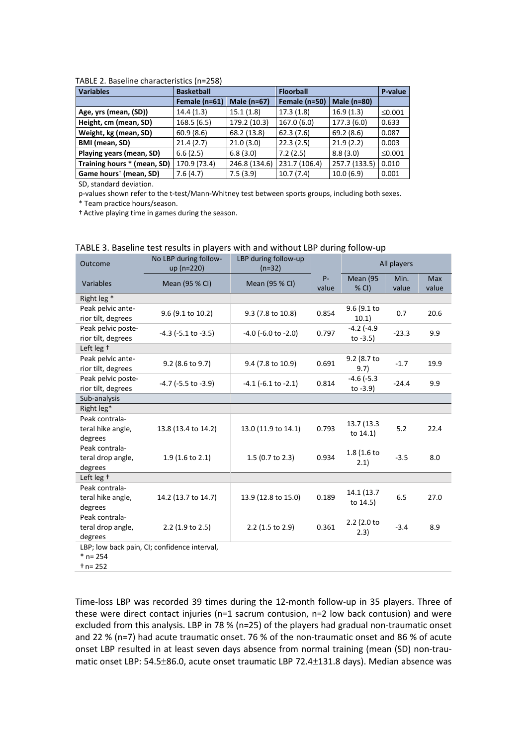| <b>Variables</b>                   | <b>Basketball</b><br><b>Floorball</b> |               |               | P-value       |              |
|------------------------------------|---------------------------------------|---------------|---------------|---------------|--------------|
|                                    | Female (n=61)                         | Male $(n=67)$ | Female (n=50) | Male (n=80)   |              |
| Age, yrs (mean, (SD))              | 14.4(1.3)                             | 15.1(1.8)     | 17.3(1.8)     | 16.9(1.3)     | $\leq 0.001$ |
| Height, cm (mean, SD)              | 168.5(6.5)                            | 179.2 (10.3)  | 167.0 (6.0)   | 177.3 (6.0)   | 0.633        |
| Weight, kg (mean, SD)              | 60.9(8.6)                             | 68.2 (13.8)   | 62.3(7.6)     | 69.2(8.6)     | 0.087        |
| BMI (mean, SD)                     | 21.4(2.7)                             | 21.0(3.0)     | 22.3(2.5)     | 21.9(2.2)     | 0.003        |
| Playing years (mean, SD)           | 6.6(2.5)                              | 6.8(3.0)      | 7.2(2.5)      | 8.8(3.0)      | $\leq 0.001$ |
| Training hours * (mean, SD)        | 170.9 (73.4)                          | 246.8 (134.6) | 231.7 (106.4) | 257.7 (133.5) | 0.010        |
| Game hours <sup>†</sup> (mean, SD) | 7.6(4.7)                              | 7.5(3.9)      | 10.7(7.4)     | 10.0(6.9)     | 0.001        |

#### TABLE 2. Baseline characteristics (n=258)

SD, standard deviation.

p-values shown refer to the t-test/Mann-Whitney test between sports groups, including both sexes. \* Team practice hours/season.

†Active playing time in games during the season.

| Outcome                                                    | No LBP during follow-<br>up (n=220) | LBP during follow-up<br>$(n=32)$ |                | All players                    |               |                     |  |  |
|------------------------------------------------------------|-------------------------------------|----------------------------------|----------------|--------------------------------|---------------|---------------------|--|--|
| Variables                                                  | Mean (95 % CI)                      | Mean (95 % CI)                   | $P -$<br>value | Mean (95<br>% CI)              | Min.<br>value | <b>Max</b><br>value |  |  |
| Right leg *                                                |                                     |                                  |                |                                |               |                     |  |  |
| Peak pelvic ante-<br>rior tilt, degrees                    | 9.6 (9.1 to 10.2)                   | 9.3 (7.8 to 10.8)                | 0.854          | 9.6 (9.1 to<br>10.1)           | 0.7           | 20.6                |  |  |
| Peak pelvic poste-<br>rior tilt, degrees                   | $-4.3$ ( $-5.1$ to $-3.5$ )         | $-4.0$ ( $-6.0$ to $-2.0$ )      | 0.797          | $-4.2$ ( $-4.9$<br>to $-3.5$ ) | $-23.3$       | 9.9                 |  |  |
| Left leg +                                                 |                                     |                                  |                |                                |               |                     |  |  |
| Peak pelvic ante-<br>rior tilt, degrees                    | 9.2 (8.6 to 9.7)                    | 9.4 (7.8 to 10.9)                | 0.691          | 9.2 (8.7 to<br>9.7)            | $-1.7$        | 19.9                |  |  |
| Peak pelvic poste-<br>rior tilt, degrees                   | $-4.7$ ( $-5.5$ to $-3.9$ )         | $-4.1$ ( $-6.1$ to $-2.1$ )      | 0.814          | $-4.6$ ( $-5.3$<br>to $-3.9$ ) | $-24.4$       | 9.9                 |  |  |
| Sub-analysis                                               |                                     |                                  |                |                                |               |                     |  |  |
| Right leg*                                                 |                                     |                                  |                |                                |               |                     |  |  |
| Peak contrala-<br>teral hike angle,<br>degrees             | 13.8 (13.4 to 14.2)                 | 13.0 (11.9 to 14.1)              | 0.793          | 13.7 (13.3<br>to $14.1$        | 5.2           | 22.4                |  |  |
| Peak contrala-<br>teral drop angle,<br>degrees             | $1.9(1.6 \text{ to } 2.1)$          | 1.5 (0.7 to 2.3)                 | 0.934          | 1.8 (1.6 to<br>2.1)            | $-3.5$        | 8.0                 |  |  |
| Left leg +                                                 |                                     |                                  |                |                                |               |                     |  |  |
| Peak contrala-<br>teral hike angle,<br>degrees             | 14.2 (13.7 to 14.7)                 | 13.9 (12.8 to 15.0)              | 0.189          | 14.1 (13.7<br>to 14.5)         | 6.5           | 27.0                |  |  |
| Peak contrala-<br>teral drop angle,<br>degrees             | 2.2 (1.9 to 2.5)                    | 2.2 (1.5 to 2.9)                 | 0.361          | 2.2 (2.0 to<br>2.3)            | $-3.4$        | 8.9                 |  |  |
| LBP; low back pain, CI; confidence interval,<br>$*$ n= 254 |                                     |                                  |                |                                |               |                     |  |  |

# TABLE 3. Baseline test results in players with and without LBP during follow-up

\* n= 254

† n= 252

Time-loss LBP was recorded 39 times during the 12-month follow-up in 35 players. Three of these were direct contact injuries (n=1 sacrum contusion, n=2 low back contusion) and were excluded from this analysis. LBP in 78 % (n=25) of the players had gradual non-traumatic onset and 22 % (n=7) had acute traumatic onset. 76 % of the non-traumatic onset and 86 % of acute onset LBP resulted in at least seven days absence from normal training (mean (SD) non-traumatic onset LBP: 54.5±86.0, acute onset traumatic LBP 72.4±131.8 days). Median absence was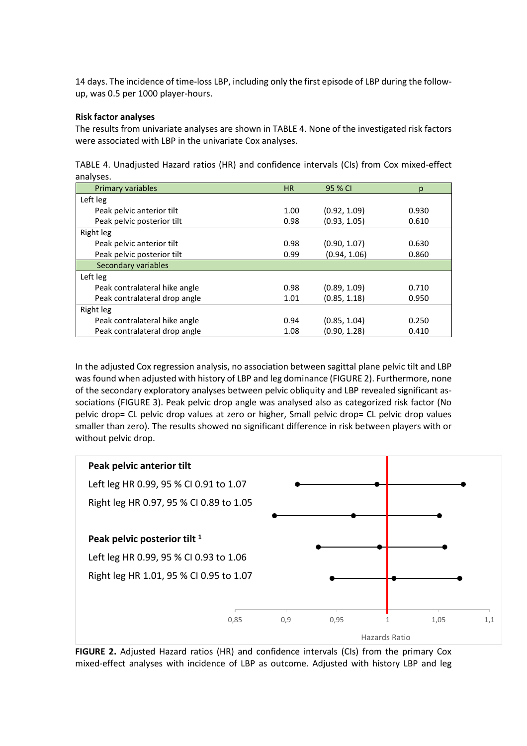14 days. The incidence of time-loss LBP, including only the first episode of LBP during the followup, was 0.5 per 1000 player-hours.

# **Risk factor analyses**

The results from univariate analyses are shown in TABLE 4. None of the investigated risk factors were associated with LBP in the univariate Cox analyses.

|           | TABLE 4. Unadjusted Hazard ratios (HR) and confidence intervals (CIs) from Cox mixed-effect |  |  |  |  |  |
|-----------|---------------------------------------------------------------------------------------------|--|--|--|--|--|
| analyses. |                                                                                             |  |  |  |  |  |

| Primary variables             | <b>HR</b> | 95 % CI      | р     |
|-------------------------------|-----------|--------------|-------|
| Left leg                      |           |              |       |
| Peak pelvic anterior tilt     | 1.00      | (0.92, 1.09) | 0.930 |
| Peak pelvic posterior tilt    | 0.98      | (0.93, 1.05) | 0.610 |
| Right leg                     |           |              |       |
| Peak pelvic anterior tilt     | 0.98      | (0.90, 1.07) | 0.630 |
| Peak pelvic posterior tilt    | 0.99      | (0.94, 1.06) | 0.860 |
| Secondary variables           |           |              |       |
| Left leg                      |           |              |       |
| Peak contralateral hike angle | 0.98      | (0.89, 1.09) | 0.710 |
| Peak contralateral drop angle | 1.01      | (0.85, 1.18) | 0.950 |
| Right leg                     |           |              |       |
| Peak contralateral hike angle | 0.94      | (0.85, 1.04) | 0.250 |
| Peak contralateral drop angle | 1.08      | (0.90, 1.28) | 0.410 |

In the adjusted Cox regression analysis, no association between sagittal plane pelvic tilt and LBP was found when adjusted with history of LBP and leg dominance (FIGURE 2). Furthermore, none of the secondary exploratory analyses between pelvic obliquity and LBP revealed significant associations (FIGURE 3). Peak pelvic drop angle was analysed also as categorized risk factor (No pelvic drop= CL pelvic drop values at zero or higher, Small pelvic drop= CL pelvic drop values smaller than zero). The results showed no significant difference in risk between players with or without pelvic drop.



**FIGURE 2.** Adjusted Hazard ratios (HR) and confidence intervals (CIs) from the primary Cox mixed-effect analyses with incidence of LBP as outcome. Adjusted with history LBP and leg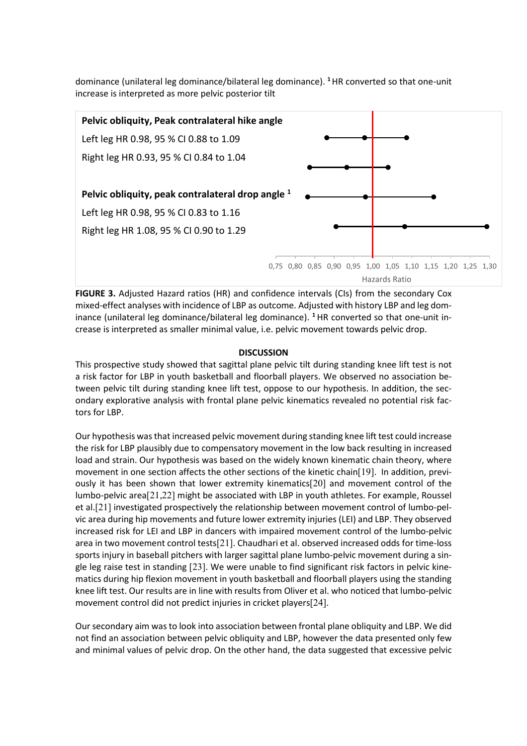dominance (unilateral leg dominance/bilateral leg dominance). **<sup>1</sup>**HR converted so that one-unit increase is interpreted as more pelvic posterior tilt



**FIGURE 3.** Adjusted Hazard ratios (HR) and confidence intervals (CIs) from the secondary Cox mixed-effect analyses with incidence of LBP as outcome. Adjusted with history LBP and leg dominance (unilateral leg dominance/bilateral leg dominance). **<sup>1</sup>** HR converted so that one-unit increase is interpreted as smaller minimal value, i.e. pelvic movement towards pelvic drop.

### **DISCUSSION**

This prospective study showed that sagittal plane pelvic tilt during standing knee lift test is not a risk factor for LBP in youth basketball and floorball players. We observed no association between pelvic tilt during standing knee lift test, oppose to our hypothesis. In addition, the secondary explorative analysis with frontal plane pelvic kinematics revealed no potential risk factors for LBP.

Our hypothesis was that increased pelvic movement during standing knee lift test could increase the risk for LBP plausibly due to compensatory movement in the low back resulting in increased load and strain. Our hypothesis was based on the widely known kinematic chain theory, where movement in one section affects the other sections of the kinetic chain[19]. In addition, previously it has been shown that lower extremity kinematics[20] and movement control of the lumbo-pelvic area[21,22] might be associated with LBP in youth athletes. For example, Roussel et al.[21] investigated prospectively the relationship between movement control of lumbo-pelvic area during hip movements and future lower extremity injuries (LEI) and LBP. They observed increased risk for LEI and LBP in dancers with impaired movement control of the lumbo-pelvic area in two movement control tests[21]. Chaudhari et al. observed increased odds for time-loss sports injury in baseball pitchers with larger sagittal plane lumbo-pelvic movement during a single leg raise test in standing [23]. We were unable to find significant risk factors in pelvic kinematics during hip flexion movement in youth basketball and floorball players using the standing knee lift test. Our results are in line with results from Oliver et al. who noticed that lumbo-pelvic movement control did not predict injuries in cricket players[24].

Our secondary aim was to look into association between frontal plane obliquity and LBP. We did not find an association between pelvic obliquity and LBP, however the data presented only few and minimal values of pelvic drop. On the other hand, the data suggested that excessive pelvic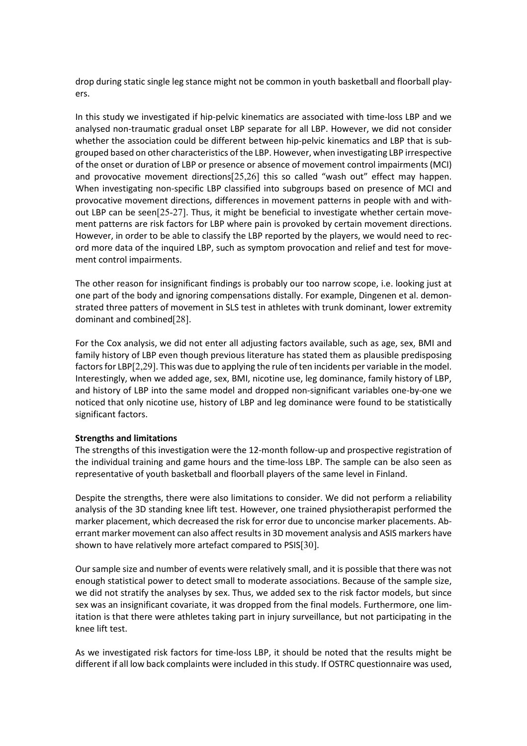drop during static single leg stance might not be common in youth basketball and floorball players.

In this study we investigated if hip-pelvic kinematics are associated with time-loss LBP and we analysed non-traumatic gradual onset LBP separate for all LBP. However, we did not consider whether the association could be different between hip-pelvic kinematics and LBP that is subgrouped based on other characteristics of the LBP. However, when investigating LBP irrespective of the onset or duration of LBP or presence or absence of movement control impairments (MCI) and provocative movement directions[25,26] this so called "wash out" effect may happen. When investigating non-specific LBP classified into subgroups based on presence of MCI and provocative movement directions, differences in movement patterns in people with and without LBP can be seen[25-27]. Thus, it might be beneficial to investigate whether certain movement patterns are risk factors for LBP where pain is provoked by certain movement directions. However, in order to be able to classify the LBP reported by the players, we would need to record more data of the inquired LBP, such as symptom provocation and relief and test for movement control impairments.

The other reason for insignificant findings is probably our too narrow scope, i.e. looking just at one part of the body and ignoring compensations distally. For example, Dingenen et al. demonstrated three patters of movement in SLS test in athletes with trunk dominant, lower extremity dominant and combined[28].

For the Cox analysis, we did not enter all adjusting factors available, such as age, sex, BMI and family history of LBP even though previous literature has stated them as plausible predisposing factors for LBP[2,29]. This was due to applying the rule of ten incidents per variable in the model. Interestingly, when we added age, sex, BMI, nicotine use, leg dominance, family history of LBP, and history of LBP into the same model and dropped non-significant variables one-by-one we noticed that only nicotine use, history of LBP and leg dominance were found to be statistically significant factors.

#### **Strengths and limitations**

The strengths of this investigation were the 12-month follow-up and prospective registration of the individual training and game hours and the time-loss LBP. The sample can be also seen as representative of youth basketball and floorball players of the same level in Finland.

Despite the strengths, there were also limitations to consider. We did not perform a reliability analysis of the 3D standing knee lift test. However, one trained physiotherapist performed the marker placement, which decreased the risk for error due to unconcise marker placements. Aberrant marker movement can also affect results in 3D movement analysis and ASIS markers have shown to have relatively more artefact compared to PSIS[30].

Our sample size and number of events were relatively small, and it is possible that there was not enough statistical power to detect small to moderate associations. Because of the sample size, we did not stratify the analyses by sex. Thus, we added sex to the risk factor models, but since sex was an insignificant covariate, it was dropped from the final models. Furthermore, one limitation is that there were athletes taking part in injury surveillance, but not participating in the knee lift test.

As we investigated risk factors for time-loss LBP, it should be noted that the results might be different if all low back complaints were included in this study. If OSTRC questionnaire was used,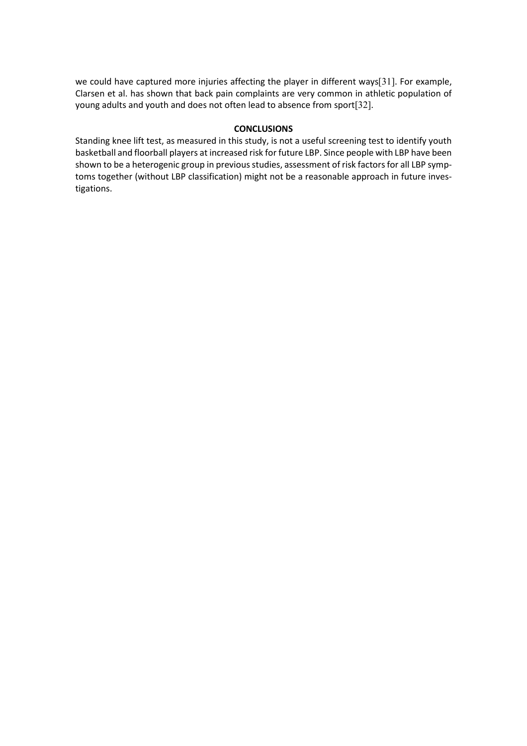we could have captured more injuries affecting the player in different ways[31]. For example, Clarsen et al. has shown that back pain complaints are very common in athletic population of young adults and youth and does not often lead to absence from sport[32].

# **CONCLUSIONS**

Standing knee lift test, as measured in this study, is not a useful screening test to identify youth basketball and floorball players at increased risk for future LBP. Since people with LBP have been shown to be a heterogenic group in previous studies, assessment of risk factors for all LBP symptoms together (without LBP classification) might not be a reasonable approach in future investigations.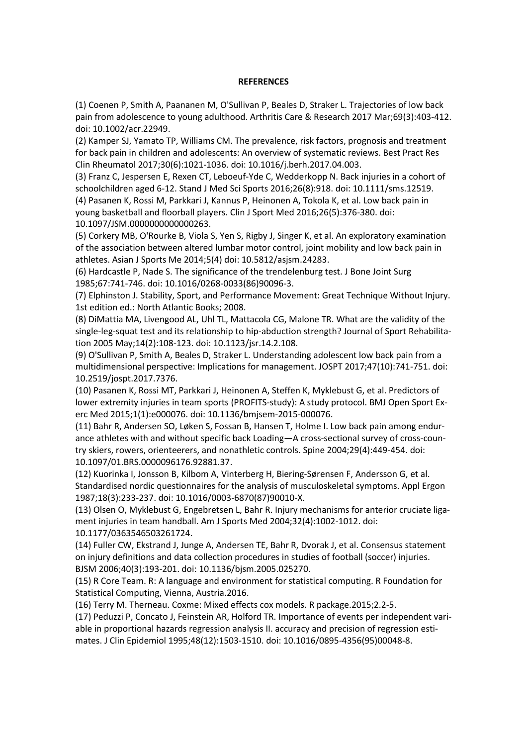#### **REFERENCES**

(1) Coenen P, Smith A, Paananen M, O'Sullivan P, Beales D, Straker L. Trajectories of low back pain from adolescence to young adulthood. Arthritis Care & Research 2017 Mar;69(3):403-412. doi: 10.1002/acr.22949.

(2) Kamper SJ, Yamato TP, Williams CM. The prevalence, risk factors, prognosis and treatment for back pain in children and adolescents: An overview of systematic reviews. Best Pract Res Clin Rheumatol 2017;30(6):1021-1036. doi: 10.1016/j.berh.2017.04.003.

(3) Franz C, Jespersen E, Rexen CT, Leboeuf-Yde C, Wedderkopp N. Back injuries in a cohort of schoolchildren aged 6-12. Stand J Med Sci Sports 2016;26(8):918. doi: 10.1111/sms.12519. (4) Pasanen K, Rossi M, Parkkari J, Kannus P, Heinonen A, Tokola K, et al. Low back pain in young basketball and floorball players. Clin J Sport Med 2016;26(5):376-380. doi: 10.1097/JSM.0000000000000263.

(5) Corkery MB, O'Rourke B, Viola S, Yen S, Rigby J, Singer K, et al. An exploratory examination of the association between altered lumbar motor control, joint mobility and low back pain in athletes. Asian J Sports Me 2014;5(4) doi: 10.5812/asjsm.24283.

(6) Hardcastle P, Nade S. The significance of the trendelenburg test. J Bone Joint Surg 1985;67:741-746. doi: 10.1016/0268-0033(86)90096-3.

(7) Elphinston J. Stability, Sport, and Performance Movement: Great Technique Without Injury. 1st edition ed.: North Atlantic Books; 2008.

(8) DiMattia MA, Livengood AL, Uhl TL, Mattacola CG, Malone TR. What are the validity of the single-leg-squat test and its relationship to hip-abduction strength? Journal of Sport Rehabilitation 2005 May;14(2):108-123. doi: 10.1123/jsr.14.2.108.

(9) O'Sullivan P, Smith A, Beales D, Straker L. Understanding adolescent low back pain from a multidimensional perspective: Implications for management. JOSPT 2017;47(10):741-751. doi: 10.2519/jospt.2017.7376.

(10) Pasanen K, Rossi MT, Parkkari J, Heinonen A, Steffen K, Myklebust G, et al. Predictors of lower extremity injuries in team sports (PROFITS-study): A study protocol. BMJ Open Sport Exerc Med 2015;1(1):e000076. doi: 10.1136/bmjsem-2015-000076.

(11) Bahr R, Andersen SO, Løken S, Fossan B, Hansen T, Holme I. Low back pain among endurance athletes with and without specific back Loading—A cross-sectional survey of cross-country skiers, rowers, orienteerers, and nonathletic controls. Spine 2004;29(4):449-454. doi: 10.1097/01.BRS.0000096176.92881.37.

(12) Kuorinka I, Jonsson B, Kilbom A, Vinterberg H, Biering-Sørensen F, Andersson G, et al. Standardised nordic questionnaires for the analysis of musculoskeletal symptoms. Appl Ergon 1987;18(3):233-237. doi: 10.1016/0003-6870(87)90010-X.

(13) Olsen O, Myklebust G, Engebretsen L, Bahr R. Injury mechanisms for anterior cruciate ligament injuries in team handball. Am J Sports Med 2004;32(4):1002-1012. doi: 10.1177/0363546503261724.

(14) Fuller CW, Ekstrand J, Junge A, Andersen TE, Bahr R, Dvorak J, et al. Consensus statement on injury definitions and data collection procedures in studies of football (soccer) injuries. BJSM 2006;40(3):193-201. doi: 10.1136/bjsm.2005.025270.

(15) R Core Team. R: A language and environment for statistical computing. R Foundation for Statistical Computing, Vienna, Austria.2016.

(16) Terry M. Therneau. Coxme: Mixed effects cox models. R package.2015;2.2-5.

(17) Peduzzi P, Concato J, Feinstein AR, Holford TR. Importance of events per independent variable in proportional hazards regression analysis II. accuracy and precision of regression estimates. J Clin Epidemiol 1995;48(12):1503-1510. doi: 10.1016/0895-4356(95)00048-8.